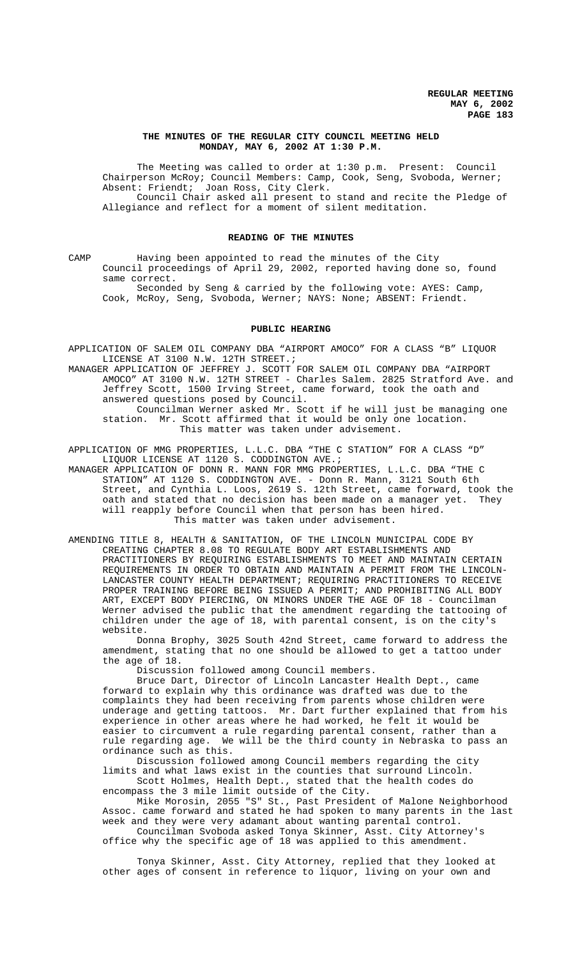## **THE MINUTES OF THE REGULAR CITY COUNCIL MEETING HELD MONDAY, MAY 6, 2002 AT 1:30 P.M.**

The Meeting was called to order at 1:30 p.m. Present: Council Chairperson McRoy; Council Members: Camp, Cook, Seng, Svoboda, Werner; Absent: Friendt; Joan Ross, City Clerk. Council Chair asked all present to stand and recite the Pledge of Allegiance and reflect for a moment of silent meditation.

#### **READING OF THE MINUTES**

CAMP Having been appointed to read the minutes of the City Council proceedings of April 29, 2002, reported having done so, found same correct.

Seconded by Seng & carried by the following vote: AYES: Camp, Cook, McRoy, Seng, Svoboda, Werner; NAYS: None; ABSENT: Friendt.

## **PUBLIC HEARING**

APPLICATION OF SALEM OIL COMPANY DBA "AIRPORT AMOCO" FOR A CLASS "B" LIQUOR LICENSE AT 3100 N.W. 12TH STREET.;

MANAGER APPLICATION OF JEFFREY J. SCOTT FOR SALEM OIL COMPANY DBA "AIRPORT AMOCO" AT 3100 N.W. 12TH STREET - Charles Salem. 2825 Stratford Ave. and Jeffrey Scott, 1500 Irving Street, came forward, took the oath and answered questions posed by Council.

Councilman Werner asked Mr. Scott if he will just be managing one station. Mr. Scott affirmed that it would be only one location. This matter was taken under advisement.

APPLICATION OF MMG PROPERTIES, L.L.C. DBA "THE C STATION" FOR A CLASS "D" LIQUOR LICENSE AT 1120 S. CODDINGTON AVE.;

MANAGER APPLICATION OF DONN R. MANN FOR MMG PROPERTIES, L.L.C. DBA "THE C STATION" AT 1120 S. CODDINGTON AVE. - Donn R. Mann, 3121 South 6th Street, and Cynthia L. Loos, 2619 S. 12th Street, came forward, took the oath and stated that no decision has been made on a manager yet. They will reapply before Council when that person has been hired. This matter was taken under advisement.

AMENDING TITLE 8, HEALTH & SANITATION, OF THE LINCOLN MUNICIPAL CODE BY CREATING CHAPTER 8.08 TO REGULATE BODY ART ESTABLISHMENTS AND PRACTITIONERS BY REQUIRING ESTABLISHMENTS TO MEET AND MAINTAIN CERTAIN REQUIREMENTS IN ORDER TO OBTAIN AND MAINTAIN A PERMIT FROM THE LINCOLN-LANCASTER COUNTY HEALTH DEPARTMENT; REQUIRING PRACTITIONERS TO RECEIVE PROPER TRAINING BEFORE BEING ISSUED A PERMIT; AND PROHIBITING ALL BODY ART, EXCEPT BODY PIERCING, ON MINORS UNDER THE AGE OF 18 - Councilman Werner advised the public that the amendment regarding the tattooing of children under the age of 18, with parental consent, is on the city's website.

Donna Brophy, 3025 South 42nd Street, came forward to address the amendment, stating that no one should be allowed to get a tattoo under the age of 18.

Discussion followed among Council members.

Bruce Dart, Director of Lincoln Lancaster Health Dept., came forward to explain why this ordinance was drafted was due to the complaints they had been receiving from parents whose children were underage and getting tattoos. Mr. Dart further explained that from his experience in other areas where he had worked, he felt it would be easier to circumvent a rule regarding parental consent, rather than a rule regarding age. We will be the third county in Nebraska to pass an ordinance such as this.

Discussion followed among Council members regarding the city limits and what laws exist in the counties that surround Lincoln. Scott Holmes, Health Dept., stated that the health codes do

encompass the 3 mile limit outside of the City.

Mike Morosin, 2055 "S" St., Past President of Malone Neighborhood Assoc. came forward and stated he had spoken to many parents in the last week and they were very adamant about wanting parental control.

Councilman Svoboda asked Tonya Skinner, Asst. City Attorney's office why the specific age of 18 was applied to this amendment.

Tonya Skinner, Asst. City Attorney, replied that they looked at other ages of consent in reference to liquor, living on your own and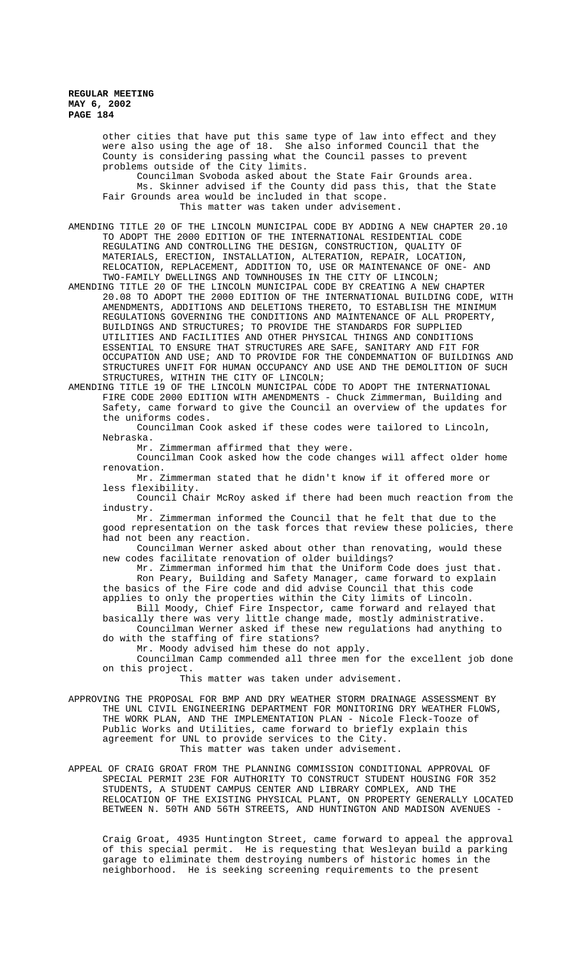other cities that have put this same type of law into effect and they were also using the age of 18. She also informed Council that the County is considering passing what the Council passes to prevent problems outside of the City limits.

Councilman Svoboda asked about the State Fair Grounds area. Ms. Skinner advised if the County did pass this, that the State Fair Grounds area would be included in that scope. This matter was taken under advisement.

AMENDING TITLE 20 OF THE LINCOLN MUNICIPAL CODE BY ADDING A NEW CHAPTER 20.10 TO ADOPT THE 2000 EDITION OF THE INTERNATIONAL RESIDENTIAL CODE REGULATING AND CONTROLLING THE DESIGN, CONSTRUCTION, QUALITY OF MATERIALS, ERECTION, INSTALLATION, ALTERATION, REPAIR, LOCATION, RELOCATION, REPLACEMENT, ADDITION TO, USE OR MAINTENANCE OF ONE- AND TWO-FAMILY DWELLINGS AND TOWNHOUSES IN THE CITY OF LINCOLN;

AMENDING TITLE 20 OF THE LINCOLN MUNICIPAL CODE BY CREATING A NEW CHAPTER 20.08 TO ADOPT THE 2000 EDITION OF THE INTERNATIONAL BUILDING CODE, WITH AMENDMENTS, ADDITIONS AND DELETIONS THERETO, TO ESTABLISH THE MINIMUM REGULATIONS GOVERNING THE CONDITIONS AND MAINTENANCE OF ALL PROPERTY, BUILDINGS AND STRUCTURES; TO PROVIDE THE STANDARDS FOR SUPPLIED UTILITIES AND FACILITIES AND OTHER PHYSICAL THINGS AND CONDITIONS ESSENTIAL TO ENSURE THAT STRUCTURES ARE SAFE, SANITARY AND FIT FOR OCCUPATION AND USE; AND TO PROVIDE FOR THE CONDEMNATION OF BUILDINGS AND STRUCTURES UNFIT FOR HUMAN OCCUPANCY AND USE AND THE DEMOLITION OF SUCH STRUCTURES, WITHIN THE CITY OF LINCOLN;

AMENDING TITLE 19 OF THE LINCOLN MUNICIPAL CODE TO ADOPT THE INTERNATIONAL FIRE CODE 2000 EDITION WITH AMENDMENTS - Chuck Zimmerman, Building and Safety, came forward to give the Council an overview of the updates for the uniforms codes.

Councilman Cook asked if these codes were tailored to Lincoln, Nebraska.

Mr. Zimmerman affirmed that they were.

Councilman Cook asked how the code changes will affect older home renovation.

Mr. Zimmerman stated that he didn't know if it offered more or less flexibility.

Council Chair McRoy asked if there had been much reaction from the industry.

Mr. Zimmerman informed the Council that he felt that due to the good representation on the task forces that review these policies, there had not been any reaction.

Councilman Werner asked about other than renovating, would these new codes facilitate renovation of older buildings?

Mr. Zimmerman informed him that the Uniform Code does just that. Ron Peary, Building and Safety Manager, came forward to explain the basics of the Fire code and did advise Council that this code

applies to only the properties within the City limits of Lincoln. Bill Moody, Chief Fire Inspector, came forward and relayed that

basically there was very little change made, mostly administrative. Councilman Werner asked if these new regulations had anything to

do with the staffing of fire stations? Mr. Moody advised him these do not apply.

Councilman Camp commended all three men for the excellent job done

on this project.

This matter was taken under advisement.

APPROVING THE PROPOSAL FOR BMP AND DRY WEATHER STORM DRAINAGE ASSESSMENT BY THE UNL CIVIL ENGINEERING DEPARTMENT FOR MONITORING DRY WEATHER FLOWS, THE WORK PLAN, AND THE IMPLEMENTATION PLAN - Nicole Fleck-Tooze of Public Works and Utilities, came forward to briefly explain this agreement for UNL to provide services to the City. This matter was taken under advisement.

APPEAL OF CRAIG GROAT FROM THE PLANNING COMMISSION CONDITIONAL APPROVAL OF SPECIAL PERMIT 23E FOR AUTHORITY TO CONSTRUCT STUDENT HOUSING FOR 352 STUDENTS, A STUDENT CAMPUS CENTER AND LIBRARY COMPLEX, AND THE RELOCATION OF THE EXISTING PHYSICAL PLANT, ON PROPERTY GENERALLY LOCATED BETWEEN N. 50TH AND 56TH STREETS, AND HUNTINGTON AND MADISON AVENUES -

Craig Groat, 4935 Huntington Street, came forward to appeal the approval of this special permit. He is requesting that Wesleyan build a parking garage to eliminate them destroying numbers of historic homes in the neighborhood. He is seeking screening requirements to the present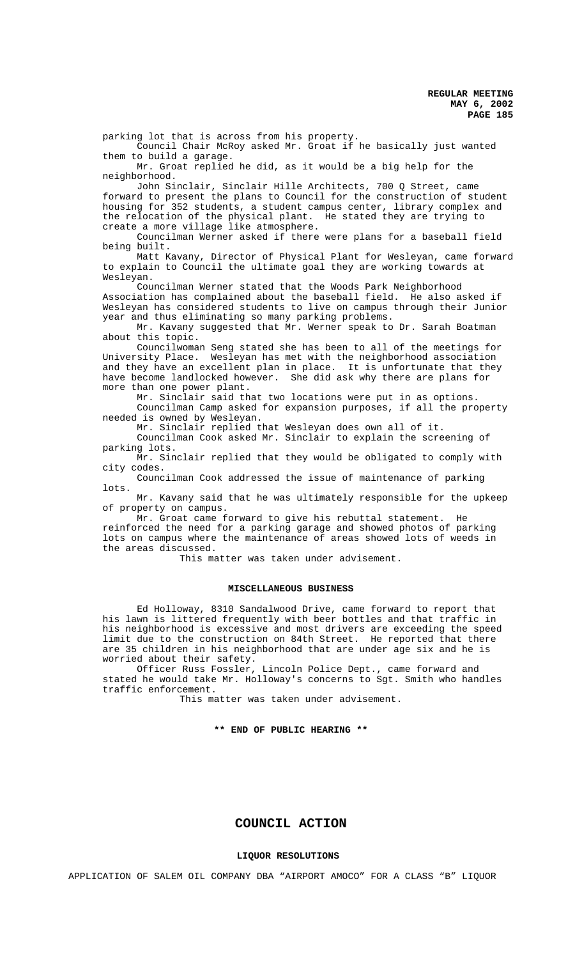parking lot that is across from his property.

Council Chair McRoy asked Mr. Groat if he basically just wanted them to build a garage.

Mr. Groat replied he did, as it would be a big help for the neighborhood.

John Sinclair, Sinclair Hille Architects, 700 Q Street, came forward to present the plans to Council for the construction of student housing for 352 students, a student campus center, library complex and the relocation of the physical plant. He stated they are trying to create a more village like atmosphere.

Councilman Werner asked if there were plans for a baseball field being built.

Matt Kavany, Director of Physical Plant for Wesleyan, came forward to explain to Council the ultimate goal they are working towards at Wesleyan.

Councilman Werner stated that the Woods Park Neighborhood Association has complained about the baseball field. He also asked if Wesleyan has considered students to live on campus through their Junior year and thus eliminating so many parking problems.

Mr. Kavany suggested that Mr. Werner speak to Dr. Sarah Boatman about this topic.

Councilwoman Seng stated she has been to all of the meetings for University Place. Wesleyan has met with the neighborhood association and they have an excellent plan in place. It is unfortunate that they have become landlocked however. She did ask why there are plans for more than one power plant.

Mr. Sinclair said that two locations were put in as options. Councilman Camp asked for expansion purposes, if all the property needed is owned by Wesleyan.

Mr. Sinclair replied that Wesleyan does own all of it.

Councilman Cook asked Mr. Sinclair to explain the screening of parking lots.

Mr. Sinclair replied that they would be obligated to comply with city codes.

Councilman Cook addressed the issue of maintenance of parking lots.

Mr. Kavany said that he was ultimately responsible for the upkeep of property on campus.

Mr. Groat came forward to give his rebuttal statement. He reinforced the need for a parking garage and showed photos of parking lots on campus where the maintenance of areas showed lots of weeds in the areas discussed.

This matter was taken under advisement.

## **MISCELLANEOUS BUSINESS**

Ed Holloway, 8310 Sandalwood Drive, came forward to report that his lawn is littered frequently with beer bottles and that traffic in his neighborhood is excessive and most drivers are exceeding the speed limit due to the construction on 84th Street. He reported that there are 35 children in his neighborhood that are under age six and he is worried about their safety.

Officer Russ Fossler, Lincoln Police Dept., came forward and stated he would take Mr. Holloway's concerns to Sgt. Smith who handles traffic enforcement.

This matter was taken under advisement.

# **\*\* END OF PUBLIC HEARING \*\***

# **COUNCIL ACTION**

## **LIQUOR RESOLUTIONS**

APPLICATION OF SALEM OIL COMPANY DBA "AIRPORT AMOCO" FOR A CLASS "B" LIQUOR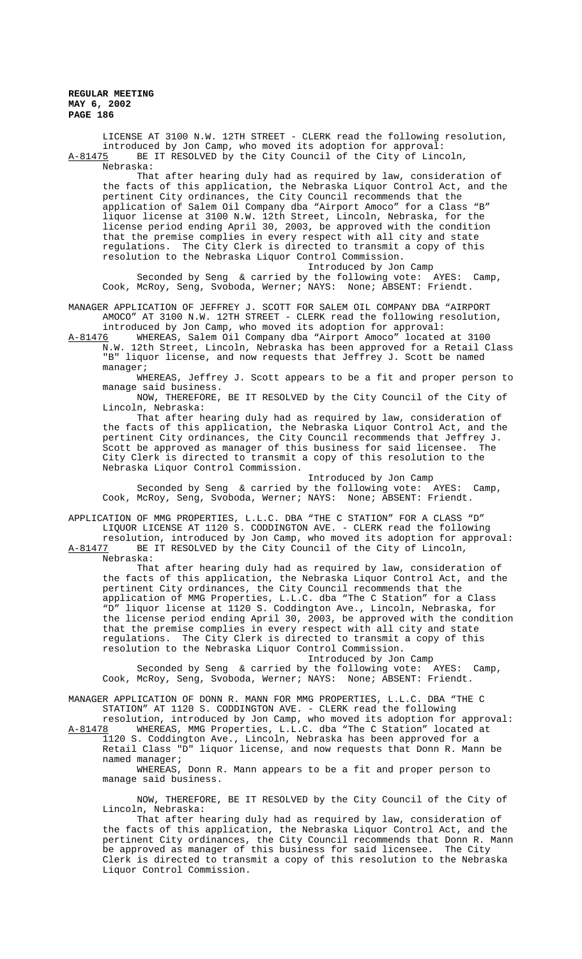LICENSE AT 3100 N.W. 12TH STREET - CLERK read the following resolution, introduced by Jon Camp, who moved its adoption for approval:<br>A-81475 BE IT RESOLVED by the City Council of the City of Linc BE IT RESOLVED by the City Council of the City of Lincoln, Nebraska:

That after hearing duly had as required by law, consideration of the facts of this application, the Nebraska Liquor Control Act, and the pertinent City ordinances, the City Council recommends that the application of Salem Oil Company dba "Airport Amoco" for a Class "B" liquor license at 3100 N.W. 12th Street, Lincoln, Nebraska, for the license period ending April 30, 2003, be approved with the condition that the premise complies in every respect with all city and state regulations. The City Clerk is directed to transmit a copy of this resolution to the Nebraska Liquor Control Commission.

Introduced by Jon Camp Seconded by Seng & carried by the following vote: AYES: Camp, Cook, McRoy, Seng, Svoboda, Werner; NAYS: None; ABSENT: Friendt.

MANAGER APPLICATION OF JEFFREY J. SCOTT FOR SALEM OIL COMPANY DBA "AIRPORT AMOCO" AT 3100 N.W. 12TH STREET - CLERK read the following resolution,

introduced by Jon Camp, who moved its adoption for approval:

A-81476 WHEREAS, Salem Oil Company dba "Airport Amoco" located at 3100 N.W. 12th Street, Lincoln, Nebraska has been approved for a Retail Class "B" liquor license, and now requests that Jeffrey J. Scott be named manager;

WHEREAS, Jeffrey J. Scott appears to be a fit and proper person to manage said business.

NOW, THEREFORE, BE IT RESOLVED by the City Council of the City of Lincoln, Nebraska:

That after hearing duly had as required by law, consideration of the facts of this application, the Nebraska Liquor Control Act, and the pertinent City ordinances, the City Council recommends that Jeffrey J. Scott be approved as manager of this business for said licensee. The City Clerk is directed to transmit a copy of this resolution to the Nebraska Liquor Control Commission.

Introduced by Jon Camp

Seconded by Seng & carried by the following vote: AYES: Camp, Cook, McRoy, Seng, Svoboda, Werner; NAYS: None; ABSENT: Friendt.

APPLICATION OF MMG PROPERTIES, L.L.C. DBA "THE C STATION" FOR A CLASS "D" LIQUOR LICENSE AT 1120 S. CODDINGTON AVE. - CLERK read the following

resolution, introduced by Jon Camp, who moved its adoption for approval: A-81477 BE IT RESOLVED by the City Council of the City of Lincoln, Nebraska:

That after hearing duly had as required by law, consideration of the facts of this application, the Nebraska Liquor Control Act, and the pertinent City ordinances, the City Council recommends that the application of MMG Properties, L.L.C. dba "The C Station" for a Class "D" liquor license at 1120 S. Coddington Ave., Lincoln, Nebraska, for the license period ending April 30, 2003, be approved with the condition that the premise complies in every respect with all city and state regulations. The City Clerk is directed to transmit a copy of this resolution to the Nebraska Liquor Control Commission.

Introduced by Jon Camp Seconded by Seng & carried by the following vote: AYES: Camp, Cook, McRoy, Seng, Svoboda, Werner; NAYS: None; ABSENT: Friendt.

MANAGER APPLICATION OF DONN R. MANN FOR MMG PROPERTIES, L.L.C. DBA "THE C STATION" AT 1120 S. CODDINGTON AVE. - CLERK read the following

resolution, introduced by Jon Camp, who moved its adoption for approval:<br>A-81478 WHEREAS, MMG Properties, L.L.C. dba "The C Station" located at WHEREAS, MMG Properties, L.L.C. dba "The C Station" located at 1120 S. Coddington Ave., Lincoln, Nebraska has been approved for a

Retail Class "D" liquor license, and now requests that Donn R. Mann be named manager;

WHEREAS, Donn R. Mann appears to be a fit and proper person to manage said business.

NOW, THEREFORE, BE IT RESOLVED by the City Council of the City of Lincoln, Nebraska:

That after hearing duly had as required by law, consideration of the facts of this application, the Nebraska Liquor Control Act, and the pertinent City ordinances, the City Council recommends that Donn R. Mann be approved as manager of this business for said licensee. The City Clerk is directed to transmit a copy of this resolution to the Nebraska Liquor Control Commission.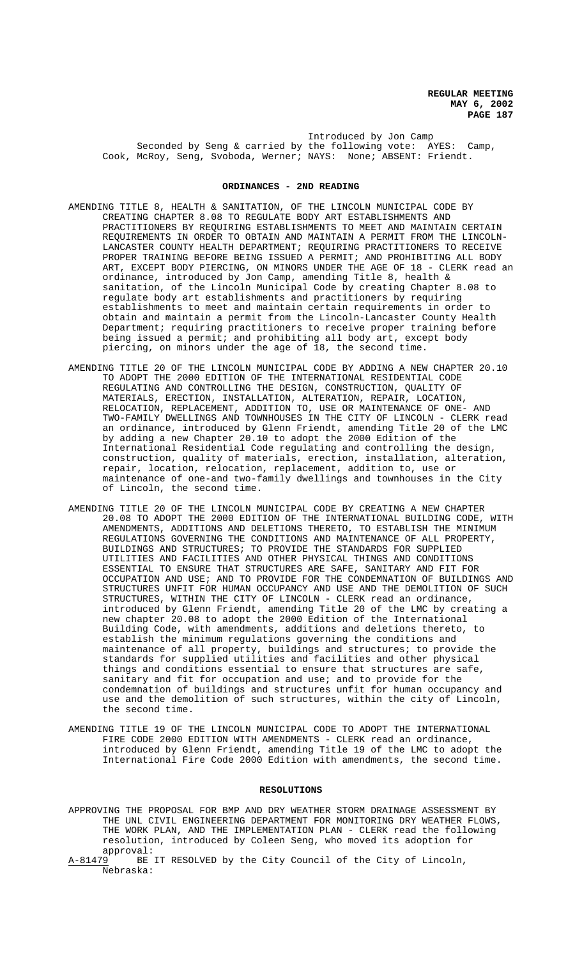Introduced by Jon Camp Seconded by Seng & carried by the following vote: AYES: Camp, Cook, McRoy, Seng, Svoboda, Werner; NAYS: None; ABSENT: Friendt.

## **ORDINANCES - 2ND READING**

- AMENDING TITLE 8, HEALTH & SANITATION, OF THE LINCOLN MUNICIPAL CODE BY CREATING CHAPTER 8.08 TO REGULATE BODY ART ESTABLISHMENTS AND PRACTITIONERS BY REQUIRING ESTABLISHMENTS TO MEET AND MAINTAIN CERTAIN REQUIREMENTS IN ORDER TO OBTAIN AND MAINTAIN A PERMIT FROM THE LINCOLN-LANCASTER COUNTY HEALTH DEPARTMENT; REQUIRING PRACTITIONERS TO RECEIVE PROPER TRAINING BEFORE BEING ISSUED A PERMIT; AND PROHIBITING ALL BODY ART, EXCEPT BODY PIERCING, ON MINORS UNDER THE AGE OF 18 - CLERK read an ordinance, introduced by Jon Camp, amending Title 8, health & sanitation, of the Lincoln Municipal Code by creating Chapter 8.08 to regulate body art establishments and practitioners by requiring establishments to meet and maintain certain requirements in order to obtain and maintain a permit from the Lincoln-Lancaster County Health Department; requiring practitioners to receive proper training before being issued a permit; and prohibiting all body art, except body piercing, on minors under the age of 18, the second time.
- AMENDING TITLE 20 OF THE LINCOLN MUNICIPAL CODE BY ADDING A NEW CHAPTER 20.10 TO ADOPT THE 2000 EDITION OF THE INTERNATIONAL RESIDENTIAL CODE REGULATING AND CONTROLLING THE DESIGN, CONSTRUCTION, QUALITY OF MATERIALS, ERECTION, INSTALLATION, ALTERATION, REPAIR, LOCATION, RELOCATION, REPLACEMENT, ADDITION TO, USE OR MAINTENANCE OF ONE- AND TWO-FAMILY DWELLINGS AND TOWNHOUSES IN THE CITY OF LINCOLN - CLERK read an ordinance, introduced by Glenn Friendt, amending Title 20 of the LMC by adding a new Chapter 20.10 to adopt the 2000 Edition of the International Residential Code regulating and controlling the design, construction, quality of materials, erection, installation, alteration, repair, location, relocation, replacement, addition to, use or maintenance of one-and two-family dwellings and townhouses in the City of Lincoln, the second time.
- AMENDING TITLE 20 OF THE LINCOLN MUNICIPAL CODE BY CREATING A NEW CHAPTER 20.08 TO ADOPT THE 2000 EDITION OF THE INTERNATIONAL BUILDING CODE, WITH AMENDMENTS, ADDITIONS AND DELETIONS THERETO, TO ESTABLISH THE MINIMUM REGULATIONS GOVERNING THE CONDITIONS AND MAINTENANCE OF ALL PROPERTY, BUILDINGS AND STRUCTURES; TO PROVIDE THE STANDARDS FOR SUPPLIED UTILITIES AND FACILITIES AND OTHER PHYSICAL THINGS AND CONDITIONS ESSENTIAL TO ENSURE THAT STRUCTURES ARE SAFE, SANITARY AND FIT FOR OCCUPATION AND USE; AND TO PROVIDE FOR THE CONDEMNATION OF BUILDINGS AND STRUCTURES UNFIT FOR HUMAN OCCUPANCY AND USE AND THE DEMOLITION OF SUCH STRUCTURES, WITHIN THE CITY OF LINCOLN - CLERK read an ordinance, introduced by Glenn Friendt, amending Title 20 of the LMC by creating a new chapter 20.08 to adopt the 2000 Edition of the International Building Code, with amendments, additions and deletions thereto, to establish the minimum regulations governing the conditions and maintenance of all property, buildings and structures; to provide the standards for supplied utilities and facilities and other physical things and conditions essential to ensure that structures are safe, sanitary and fit for occupation and use; and to provide for the condemnation of buildings and structures unfit for human occupancy and use and the demolition of such structures, within the city of Lincoln, the second time.
- AMENDING TITLE 19 OF THE LINCOLN MUNICIPAL CODE TO ADOPT THE INTERNATIONAL FIRE CODE 2000 EDITION WITH AMENDMENTS - CLERK read an ordinance, introduced by Glenn Friendt, amending Title 19 of the LMC to adopt the International Fire Code 2000 Edition with amendments, the second time.

## **RESOLUTIONS**

- APPROVING THE PROPOSAL FOR BMP AND DRY WEATHER STORM DRAINAGE ASSESSMENT BY THE UNL CIVIL ENGINEERING DEPARTMENT FOR MONITORING DRY WEATHER FLOWS, THE WORK PLAN, AND THE IMPLEMENTATION PLAN - CLERK read the following resolution, introduced by Coleen Seng, who moved its adoption for approval:<br>A-81479 BE
- BE IT RESOLVED by the City Council of the City of Lincoln, Nebraska: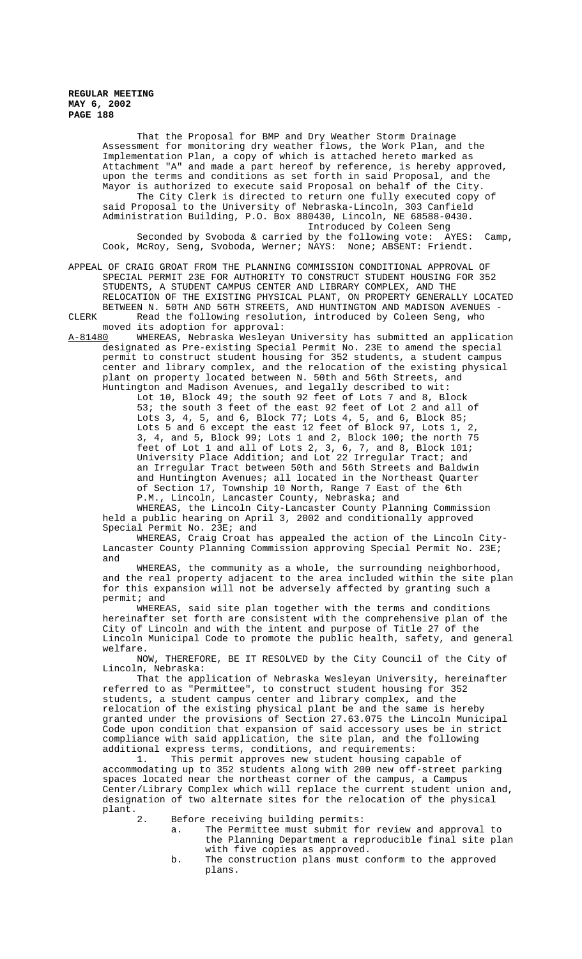> That the Proposal for BMP and Dry Weather Storm Drainage Assessment for monitoring dry weather flows, the Work Plan, and the Implementation Plan, a copy of which is attached hereto marked as Attachment "A" and made a part hereof by reference, is hereby approved, upon the terms and conditions as set forth in said Proposal, and the Mayor is authorized to execute said Proposal on behalf of the City. The City Clerk is directed to return one fully executed copy of said Proposal to the University of Nebraska-Lincoln, 303 Canfield Administration Building, P.O. Box 880430, Lincoln, NE 68588-0430. Introduced by Coleen Seng Seconded by Svoboda & carried by the following vote: AYES: Camp,

> Cook, McRoy, Seng, Svoboda, Werner; NAYS: None; ABSENT: Friendt.

APPEAL OF CRAIG GROAT FROM THE PLANNING COMMISSION CONDITIONAL APPROVAL OF SPECIAL PERMIT 23E FOR AUTHORITY TO CONSTRUCT STUDENT HOUSING FOR 352 STUDENTS, A STUDENT CAMPUS CENTER AND LIBRARY COMPLEX, AND THE RELOCATION OF THE EXISTING PHYSICAL PLANT, ON PROPERTY GENERALLY LOCATED BETWEEN N. 50TH AND 56TH STREETS, AND HUNTINGTON AND MADISON AVENUES - CLERK Read the following resolution, introduced by Coleen Seng, who

moved its adoption for approval:

A-81480 WHEREAS, Nebraska Wesleyan University has submitted an application designated as Pre-existing Special Permit No. 23E to amend the special permit to construct student housing for 352 students, a student campus center and library complex, and the relocation of the existing physical plant on property located between N. 50th and 56th Streets, and Huntington and Madison Avenues, and legally described to wit:

Lot 10, Block 49; the south 92 feet of Lots 7 and 8, Block 53; the south 3 feet of the east 92 feet of Lot 2 and all of Lots 3, 4, 5, and 6, Block 77; Lots 4, 5, and 6, Block 85; Lots 5 and 6 except the east 12 feet of Block 97, Lots 1, 2, 3, 4, and 5, Block 99; Lots 1 and 2, Block 100; the north 75 feet of Lot 1 and all of Lots 2, 3, 6, 7, and 8, Block 101; University Place Addition; and Lot 22 Irregular Tract; and an Irregular Tract between 50th and 56th Streets and Baldwin and Huntington Avenues; all located in the Northeast Quarter of Section 17, Township 10 North, Range 7 East of the 6th P.M., Lincoln, Lancaster County, Nebraska; and

WHEREAS, the Lincoln City-Lancaster County Planning Commission held a public hearing on April 3, 2002 and conditionally approved Special Permit No. 23E; and

WHEREAS, Craig Croat has appealed the action of the Lincoln City-Lancaster County Planning Commission approving Special Permit No. 23E; and

WHEREAS, the community as a whole, the surrounding neighborhood, and the real property adjacent to the area included within the site plan for this expansion will not be adversely affected by granting such a permit; and

WHEREAS, said site plan together with the terms and conditions hereinafter set forth are consistent with the comprehensive plan of the City of Lincoln and with the intent and purpose of Title 27 of the Lincoln Municipal Code to promote the public health, safety, and general welfare.

NOW, THEREFORE, BE IT RESOLVED by the City Council of the City of Lincoln, Nebraska:

That the application of Nebraska Wesleyan University, hereinafter referred to as "Permittee", to construct student housing for 352 students, a student campus center and library complex, and the relocation of the existing physical plant be and the same is hereby granted under the provisions of Section 27.63.075 the Lincoln Municipal Code upon condition that expansion of said accessory uses be in strict compliance with said application, the site plan, and the following additional express terms, conditions, and requirements:

1. This permit approves new student housing capable of accommodating up to 352 students along with 200 new off-street parking spaces located near the northeast corner of the campus, a Campus Center/Library Complex which will replace the current student union and, designation of two alternate sites for the relocation of the physical plant.<br>2.

Before receiving building permits:

a. The Permittee must submit for review and approval to the Planning Department a reproducible final site plan with five copies as approved.

b. The construction plans must conform to the approved plans.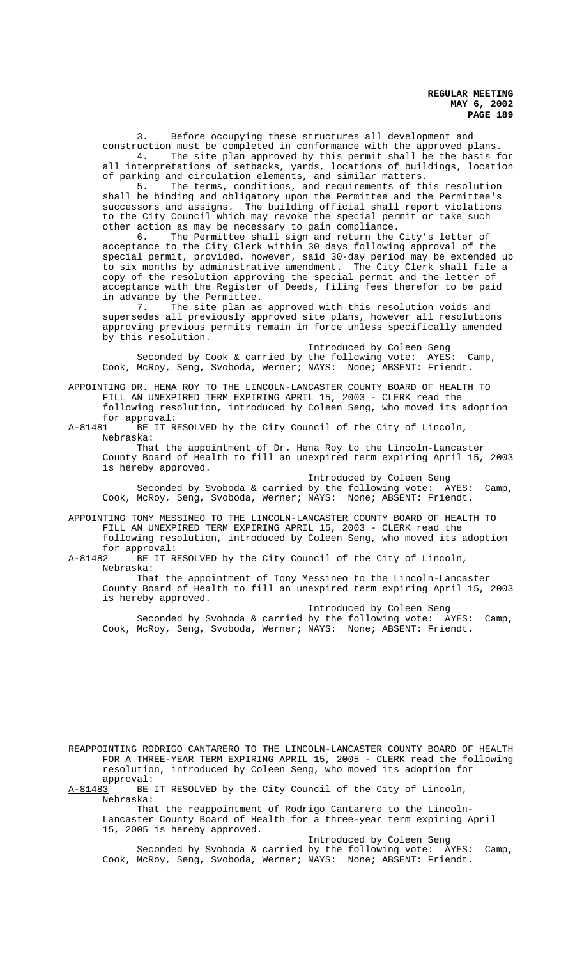3. Before occupying these structures all development and construction must be completed in conformance with the approved plans. 4. The site plan approved by this permit shall be the basis for

all interpretations of setbacks, yards, locations of buildings, location of parking and circulation elements, and similar matters.

5. The terms, conditions, and requirements of this resolution shall be binding and obligatory upon the Permittee and the Permittee's successors and assigns. The building official shall report violations to the City Council which may revoke the special permit or take such other action as may be necessary to gain compliance.

6. The Permittee shall sign and return the City's letter of acceptance to the City Clerk within 30 days following approval of the special permit, provided, however, said 30-day period may be extended up to six months by administrative amendment. The City Clerk shall file a copy of the resolution approving the special permit and the letter of acceptance with the Register of Deeds, filing fees therefor to be paid in advance by the Permittee.

7. The site plan as approved with this resolution voids and supersedes all previously approved site plans, however all resolutions approving previous permits remain in force unless specifically amended by this resolution.

Introduced by Coleen Seng Seconded by Cook & carried by the following vote: AYES: Camp, Cook, McRoy, Seng, Svoboda, Werner; NAYS: None; ABSENT: Friendt.

APPOINTING DR. HENA ROY TO THE LINCOLN-LANCASTER COUNTY BOARD OF HEALTH TO FILL AN UNEXPIRED TERM EXPIRING APRIL 15, 2003 - CLERK read the following resolution, introduced by Coleen Seng, who moved its adoption for approval:

A-81481 BE IT RESOLVED by the City Council of the City of Lincoln, Nebraska:

That the appointment of Dr. Hena Roy to the Lincoln-Lancaster County Board of Health to fill an unexpired term expiring April 15, 2003 is hereby approved.

Introduced by Coleen Seng

Seconded by Svoboda & carried by the following vote: AYES: Camp, Cook, McRoy, Seng, Svoboda, Werner; NAYS: None; ABSENT: Friendt.

APPOINTING TONY MESSINEO TO THE LINCOLN-LANCASTER COUNTY BOARD OF HEALTH TO FILL AN UNEXPIRED TERM EXPIRING APRIL 15, 2003 - CLERK read the

following resolution, introduced by Coleen Seng, who moved its adoption for approval:

A-81482 BE IT RESOLVED by the City Council of the City of Lincoln, Nebraska:

That the appointment of Tony Messineo to the Lincoln-Lancaster County Board of Health to fill an unexpired term expiring April 15, 2003 is hereby approved.

Introduced by Coleen Seng Seconded by Svoboda & carried by the following vote: AYES: Camp, Cook, McRoy, Seng, Svoboda, Werner; NAYS: None; ABSENT: Friendt.

REAPPOINTING RODRIGO CANTARERO TO THE LINCOLN-LANCASTER COUNTY BOARD OF HEALTH FOR A THREE-YEAR TERM EXPIRING APRIL 15, 2005 - CLERK read the following resolution, introduced by Coleen Seng, who moved its adoption for

approval:<br><u>A-81483</u> BE BE IT RESOLVED by the City Council of the City of Lincoln, Nebraska:

That the reappointment of Rodrigo Cantarero to the Lincoln-Lancaster County Board of Health for a three-year term expiring April 15, 2005 is hereby approved.

Introduced by Coleen Seng Seconded by Svoboda & carried by the following vote: AYES: Camp, Cook, McRoy, Seng, Svoboda, Werner; NAYS: None; ABSENT: Friendt.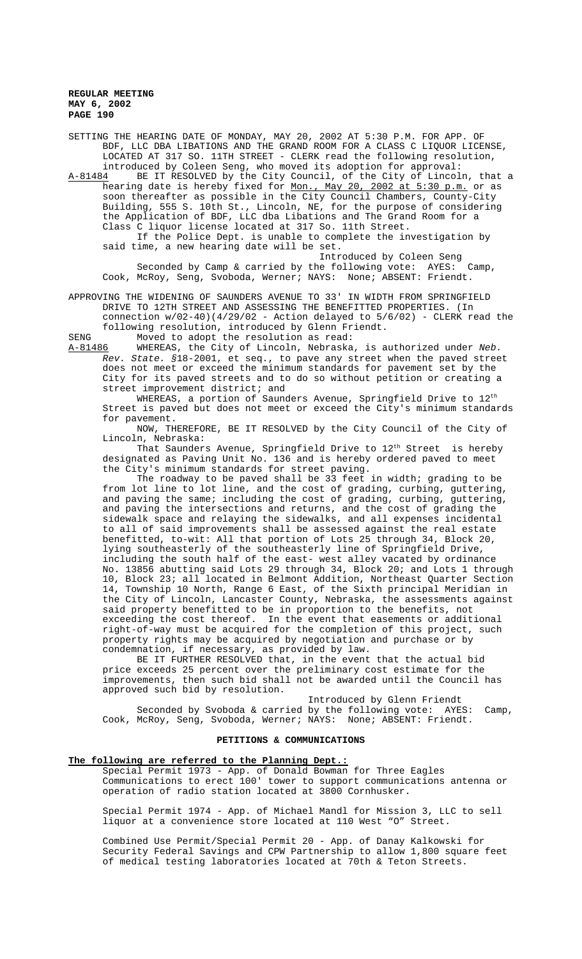SETTING THE HEARING DATE OF MONDAY, MAY 20, 2002 AT 5:30 P.M. FOR APP. OF BDF, LLC DBA LIBATIONS AND THE GRAND ROOM FOR A CLASS C LIQUOR LICENSE, LOCATED AT 317 SO. 11TH STREET - CLERK read the following resolution, introduced by Coleen Seng, who moved its adoption for approval:

A-81484 BE IT RESOLVED by the City Council, of the City of Lincoln, that a hearing date is hereby fixed for Mon., May 20, 2002 at 5:30 p.m. or as soon thereafter as possible in the City Council Chambers, County-City Building, 555 S. 10th St., Lincoln, NE, for the purpose of considering the Application of BDF, LLC dba Libations and The Grand Room for a Class C liquor license located at 317 So. 11th Street.

If the Police Dept. is unable to complete the investigation by said time, a new hearing date will be set. Introduced by Coleen Seng

Seconded by Camp & carried by the following vote: AYES: Camp, Cook, McRoy, Seng, Svoboda, Werner; NAYS: None; ABSENT: Friendt.

APPROVING THE WIDENING OF SAUNDERS AVENUE TO 33' IN WIDTH FROM SPRINGFIELD DRIVE TO 12TH STREET AND ASSESSING THE BENEFITTED PROPERTIES. (In connection  $w/02-40$ )(4/29/02 - Action delayed to  $5/6/02$ ) - CLERK read the following resolution, introduced by Glenn Friendt.

SENG Moved to adopt the resolution as read:

A-81486 WHEREAS, the City of Lincoln, Nebraska, is authorized under Neb. Rev. State. §18-2001, et seq., to pave any street when the paved street does not meet or exceed the minimum standards for pavement set by the City for its paved streets and to do so without petition or creating a street improvement district; and

WHEREAS, a portion of Saunders Avenue, Springfield Drive to  $12^{\text{th}}$ Street is paved but does not meet or exceed the City's minimum standards for pavement.

NOW, THEREFORE, BE IT RESOLVED by the City Council of the City of Lincoln, Nebraska:

That Saunders Avenue, Springfield Drive to  $12<sup>th</sup>$  Street is hereby designated as Paving Unit No. 136 and is hereby ordered paved to meet the City's minimum standards for street paving.

The roadway to be paved shall be 33 feet in width; grading to be from lot line to lot line, and the cost of grading, curbing, guttering, and paving the same; including the cost of grading, curbing, guttering, and paving the intersections and returns, and the cost of grading the sidewalk space and relaying the sidewalks, and all expenses incidental to all of said improvements shall be assessed against the real estate benefitted, to-wit: All that portion of Lots 25 through 34, Block 20, lying southeasterly of the southeasterly line of Springfield Drive, including the south half of the east- west alley vacated by ordinance No. 13856 abutting said Lots 29 through 34, Block 20; and Lots 1 through 10, Block 23; all located in Belmont Addition, Northeast Quarter Section 14, Township 10 North, Range 6 East, of the Sixth principal Meridian in the City of Lincoln, Lancaster County, Nebraska, the assessments against said property benefitted to be in proportion to the benefits, not exceeding the cost thereof. In the event that easements or additional right-of-way must be acquired for the completion of this project, such property rights may be acquired by negotiation and purchase or by condemnation, if necessary, as provided by law.

BE IT FURTHER RESOLVED that, in the event that the actual bid price exceeds 25 percent over the preliminary cost estimate for the improvements, then such bid shall not be awarded until the Council has approved such bid by resolution.

Introduced by Glenn Friendt Seconded by Svoboda & carried by the following vote: AYES: Camp, Cook, McRoy, Seng, Svoboda, Werner; NAYS: None; ABSENT: Friendt.

#### **PETITIONS & COMMUNICATIONS**

# **The following are referred to the Planning Dept.:**

Special Permit 1973 - App. of Donald Bowman for Three Eagles Communications to erect 100' tower to support communications antenna or operation of radio station located at 3800 Cornhusker.

Special Permit 1974 - App. of Michael Mandl for Mission 3, LLC to sell liquor at a convenience store located at 110 West "O" Street.

Combined Use Permit/Special Permit 20 - App. of Danay Kalkowski for Security Federal Savings and CPW Partnership to allow 1,800 square feet of medical testing laboratories located at 70th & Teton Streets.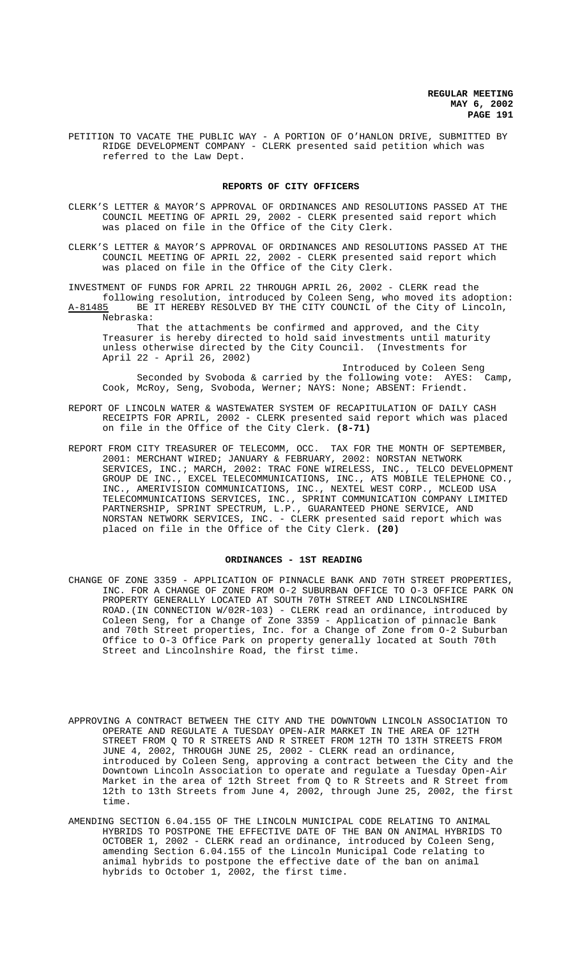PETITION TO VACATE THE PUBLIC WAY - A PORTION OF O'HANLON DRIVE, SUBMITTED BY RIDGE DEVELOPMENT COMPANY - CLERK presented said petition which was referred to the Law Dept.

#### **REPORTS OF CITY OFFICERS**

- CLERK'S LETTER & MAYOR'S APPROVAL OF ORDINANCES AND RESOLUTIONS PASSED AT THE COUNCIL MEETING OF APRIL 29, 2002 - CLERK presented said report which was placed on file in the Office of the City Clerk.
- CLERK'S LETTER & MAYOR'S APPROVAL OF ORDINANCES AND RESOLUTIONS PASSED AT THE COUNCIL MEETING OF APRIL 22, 2002 - CLERK presented said report which was placed on file in the Office of the City Clerk.

INVESTMENT OF FUNDS FOR APRIL 22 THROUGH APRIL 26, 2002 - CLERK read the following resolution, introduced by Coleen Seng, who moved its adoption: BE IT HEREBY RESOLVED BY THE CITY COUNCIL of the City of Lincoln, Nebraska:

That the attachments be confirmed and approved, and the City Treasurer is hereby directed to hold said investments until maturity unless otherwise directed by the City Council. (Investments for April 22 - April 26, 2002)

Introduced by Coleen Seng Seconded by Svoboda & carried by the following vote: AYES: Camp, Cook, McRoy, Seng, Svoboda, Werner; NAYS: None; ABSENT: Friendt.

- REPORT OF LINCOLN WATER & WASTEWATER SYSTEM OF RECAPITULATION OF DAILY CASH RECEIPTS FOR APRIL, 2002 - CLERK presented said report which was placed on file in the Office of the City Clerk. **(8-71)**
- REPORT FROM CITY TREASURER OF TELECOMM, OCC. TAX FOR THE MONTH OF SEPTEMBER, 2001: MERCHANT WIRED; JANUARY & FEBRUARY, 2002: NORSTAN NETWORK SERVICES, INC.; MARCH, 2002: TRAC FONE WIRELESS, INC., TELCO DEVELOPMENT GROUP DE INC., EXCEL TELECOMMUNICATIONS, INC., ATS MOBILE TELEPHONE CO., INC., AMERIVISION COMMUNICATIONS, INC., NEXTEL WEST CORP., MCLEOD USA TELECOMMUNICATIONS SERVICES, INC., SPRINT COMMUNICATION COMPANY LIMITED PARTNERSHIP, SPRINT SPECTRUM, L.P., GUARANTEED PHONE SERVICE, AND NORSTAN NETWORK SERVICES, INC. - CLERK presented said report which was placed on file in the Office of the City Clerk. **(20)**

#### **ORDINANCES - 1ST READING**

- CHANGE OF ZONE 3359 APPLICATION OF PINNACLE BANK AND 70TH STREET PROPERTIES, INC. FOR A CHANGE OF ZONE FROM O-2 SUBURBAN OFFICE TO O-3 OFFICE PARK ON PROPERTY GENERALLY LOCATED AT SOUTH 70TH STREET AND LINCOLNSHIRE ROAD.(IN CONNECTION W/02R-103) - CLERK read an ordinance, introduced by Coleen Seng, for a Change of Zone 3359 - Application of pinnacle Bank and 70th Street properties, Inc. for a Change of Zone from O-2 Suburban Office to O-3 Office Park on property generally located at South 70th Street and Lincolnshire Road, the first time.
- APPROVING A CONTRACT BETWEEN THE CITY AND THE DOWNTOWN LINCOLN ASSOCIATION TO OPERATE AND REGULATE A TUESDAY OPEN-AIR MARKET IN THE AREA OF 12TH STREET FROM Q TO R STREETS AND R STREET FROM 12TH TO 13TH STREETS FROM JUNE 4, 2002, THROUGH JUNE 25, 2002 - CLERK read an ordinance, introduced by Coleen Seng, approving a contract between the City and the Downtown Lincoln Association to operate and regulate a Tuesday Open-Air Market in the area of 12th Street from Q to R Streets and R Street from 12th to 13th Streets from June 4, 2002, through June 25, 2002, the first time.
- AMENDING SECTION 6.04.155 OF THE LINCOLN MUNICIPAL CODE RELATING TO ANIMAL HYBRIDS TO POSTPONE THE EFFECTIVE DATE OF THE BAN ON ANIMAL HYBRIDS TO OCTOBER 1, 2002 - CLERK read an ordinance, introduced by Coleen Seng, amending Section 6.04.155 of the Lincoln Municipal Code relating to animal hybrids to postpone the effective date of the ban on animal hybrids to October 1, 2002, the first time.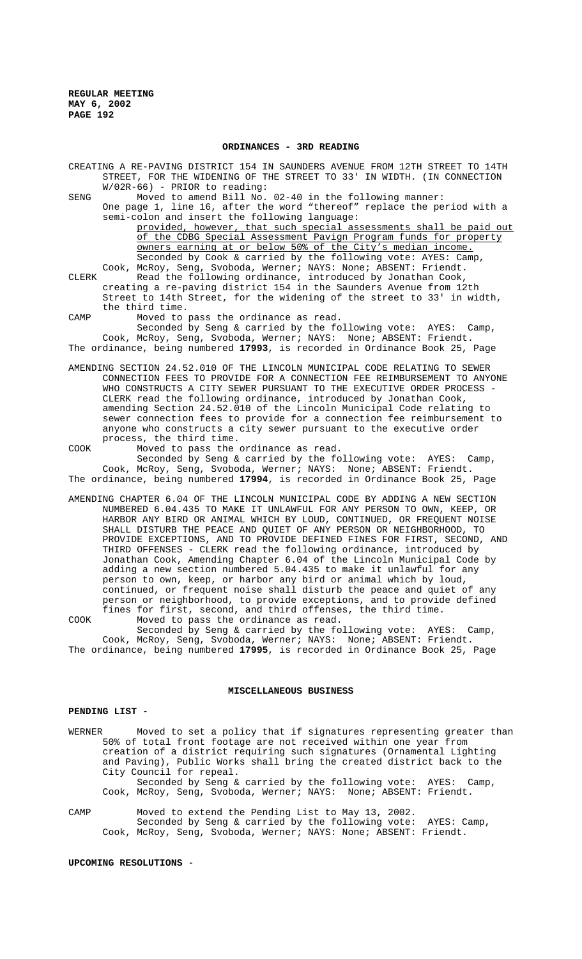#### **ORDINANCES - 3RD READING**

CREATING A RE-PAVING DISTRICT 154 IN SAUNDERS AVENUE FROM 12TH STREET TO 14TH STREET, FOR THE WIDENING OF THE STREET TO 33' IN WIDTH. (IN CONNECTION W/02R-66) - PRIOR to reading:

SENG Moved to amend Bill No. 02-40 in the following manner:

One page 1, line 16, after the word "thereof" replace the period with a semi-colon and insert the following language: provided, however, that such special assessments shall be paid out of the CDBG Special Assessment Pavign Program funds for property owners earning at or below 50% of the City's median income.

Seconded by Cook & carried by the following vote: AYES: Camp, Cook, McRoy, Seng, Svoboda, Werner; NAYS: None; ABSENT: Friendt. CLERK Read the following ordinance, introduced by Jonathan Cook, creating a re-paving district 154 in the Saunders Avenue from 12th Street to 14th Street, for the widening of the street to 33' in width, the third time.

CAMP Moved to pass the ordinance as read.

Seconded by Seng & carried by the following vote: AYES: Camp, Cook, McRoy, Seng, Svoboda, Werner; NAYS: None; ABSENT: Friendt. The ordinance, being numbered **17993**, is recorded in Ordinance Book 25, Page

AMENDING SECTION 24.52.010 OF THE LINCOLN MUNICIPAL CODE RELATING TO SEWER CONNECTION FEES TO PROVIDE FOR A CONNECTION FEE REIMBURSEMENT TO ANYONE WHO CONSTRUCTS A CITY SEWER PURSUANT TO THE EXECUTIVE ORDER PROCESS - CLERK read the following ordinance, introduced by Jonathan Cook, amending Section 24.52.010 of the Lincoln Municipal Code relating to sewer connection fees to provide for a connection fee reimbursement to anyone who constructs a city sewer pursuant to the executive order process, the third time.

COOK Moved to pass the ordinance as read.

Seconded by Seng & carried by the following vote: AYES: Camp, Cook, McRoy, Seng, Svoboda, Werner; NAYS: None; ABSENT: Friendt. The ordinance, being numbered **17994**, is recorded in Ordinance Book 25, Page

AMENDING CHAPTER 6.04 OF THE LINCOLN MUNICIPAL CODE BY ADDING A NEW SECTION NUMBERED 6.04.435 TO MAKE IT UNLAWFUL FOR ANY PERSON TO OWN, KEEP, OR HARBOR ANY BIRD OR ANIMAL WHICH BY LOUD, CONTINUED, OR FREQUENT NOISE SHALL DISTURB THE PEACE AND QUIET OF ANY PERSON OR NEIGHBORHOOD, TO PROVIDE EXCEPTIONS, AND TO PROVIDE DEFINED FINES FOR FIRST, SECOND, AND THIRD OFFENSES - CLERK read the following ordinance, introduced by Jonathan Cook, Amending Chapter 6.04 of the Lincoln Municipal Code by adding a new section numbered 5.04.435 to make it unlawful for any person to own, keep, or harbor any bird or animal which by loud, continued, or frequent noise shall disturb the peace and quiet of any person or neighborhood, to provide exceptions, and to provide defined fines for first, second, and third offenses, the third time. COOK Moved to pass the ordinance as read.

Seconded by Seng & carried by the following vote: AYES: Camp, Cook, McRoy, Seng, Svoboda, Werner; NAYS: None; ABSENT: Friendt. The ordinance, being numbered **17995**, is recorded in Ordinance Book 25, Page

#### **MISCELLANEOUS BUSINESS**

#### **PENDING LIST -**

WERNER Moved to set a policy that if signatures representing greater than 50% of total front footage are not received within one year from creation of a district requiring such signatures (Ornamental Lighting and Paving), Public Works shall bring the created district back to the City Council for repeal. Seconded by Seng & carried by the following vote: AYES: Camp, Cook, McRoy, Seng, Svoboda, Werner; NAYS: None; ABSENT: Friendt.

CAMP Moved to extend the Pending List to May 13, 2002. Seconded by Seng & carried by the following vote: AYES: Camp, Cook, McRoy, Seng, Svoboda, Werner; NAYS: None; ABSENT: Friendt.

# **UPCOMING RESOLUTIONS** -